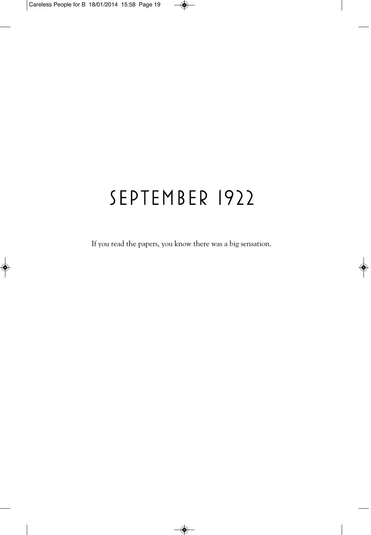# SEPTEMBER 1922

If you read the papers, you know there was a big sensation.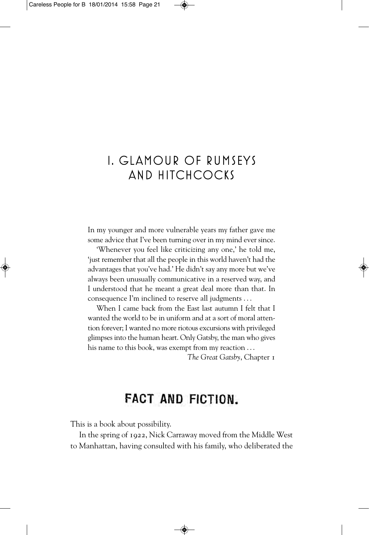# I. GLAMOUR OF RUMSEYS AND HITCHCOCKS

In my younger and more vulnerable years my father gave me some advice that I've been turning over in my mind ever since.

'Whenever you feel like criticizing any one,' he told me, 'just remember that all the people in this world haven't had the advantages that you've had.' He didn't say any more but we've always been unusually communicative in a reserved way, and I understood that he meant a great deal more than that. In consequence I'm inclined to reserve all judgments . . .

When I came back from the East last autumn I felt that I wanted the world to be in uniform and at a sort of moral attention forever; I wanted no more riotous excursions with privileged glimpses into the human heart. Only Gatsby, the man who gives his name to this book, was exempt from my reaction ...

*The Great Gatsby*, Chapter 1

# **FACT AND FICTION.**

This is a book about possibility.

In the spring of 1922, Nick Carraway moved from the Middle West to Manhattan, having consulted with his family, who deliberated the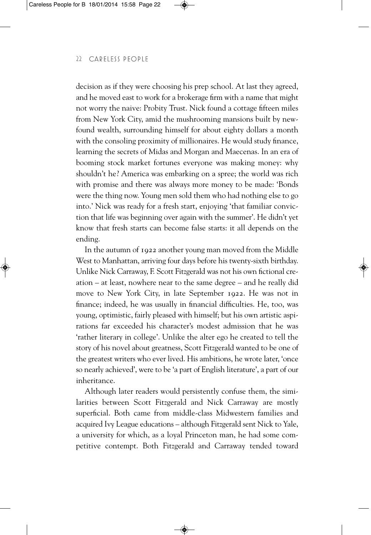decision as if they were choosing his prep school. At last they agreed, and he moved east to work for a brokerage firm with a name that might not worry the naive: Probity Trust. Nick found a cottage fifteen miles from New York City, amid the mushrooming mansions built by newfound wealth, surrounding himself for about eighty dollars a month with the consoling proximity of millionaires. He would study finance, learning the secrets of Midas and Morgan and Maecenas. In an era of booming stock market fortunes everyone was making money: why shouldn't he? America was embarking on a spree; the world was rich with promise and there was always more money to be made: 'Bonds were the thing now. Young men sold them who had nothing else to go into.' Nick was ready for a fresh start, enjoying 'that familiar conviction that life was beginning over again with the summer'. He didn't yet know that fresh starts can become false starts: it all depends on the ending.

In the autumn of 1922 another young man moved from the Middle West to Manhattan, arriving four days before his twenty-sixth birthday. Unlike Nick Carraway, F. Scott Fitzgerald was not his own fictional creation – at least, nowhere near to the same degree – and he really did move to New York City, in late September 1922. He was not in finance; indeed, he was usually in financial difficulties. He, too, was young, optimistic, fairly pleased with himself; but his own artistic aspirations far exceeded his character's modest admission that he was 'rather literary in college'. Unlike the alter ego he created to tell the story of his novel about greatness, Scott Fitzgerald wanted to be one of the greatest writers who ever lived. His ambitions, he wrote later, 'once so nearly achieved', were to be 'a part of English literature', a part of our inheritance.

Although later readers would persistently confuse them, the similarities between Scott Fitzgerald and Nick Carraway are mostly superficial. Both came from middle-class Midwestern families and acquired Ivy League educations – although Fitzgerald sent Nick to Yale, a university for which, as a loyal Princeton man, he had some competitive contempt. Both Fitzgerald and Carraway tended toward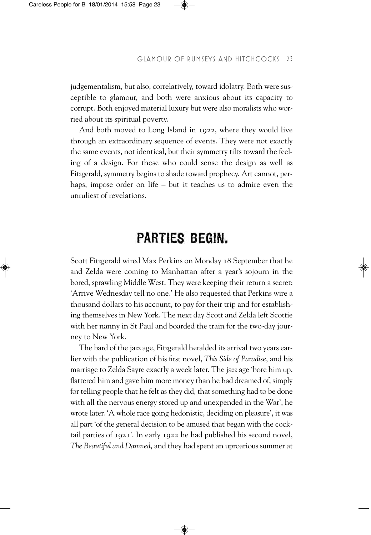judgementalism, but also, correlatively, toward idolatry. Both were susceptible to glamour, and both were anxious about its capacity to corrupt. Both enjoyed material luxury but were also moralists who worried about its spiritual poverty.

And both moved to Long Island in 1922, where they would live through an extraordinary sequence of events. They were not exactly the same events, not identical, but their symmetry tilts toward the feeling of a design. For those who could sense the design as well as Fitzgerald, symmetry begins to shade toward prophecy. Art cannot, perhaps, impose order on life – but it teaches us to admire even the unruliest of revelations.

# PARTIES BEGIN.

Scott Fitzgerald wired Max Perkins on Monday 18 September that he and Zelda were coming to Manhattan after a year's sojourn in the bored, sprawling Middle West. They were keeping their return a secret: 'Arrive Wednesday tell no one.' He also requested that Perkins wire a thousand dollars to his account, to pay for their trip and for establishing themselves in New York. The next day Scott and Zelda left Scottie with her nanny in St Paul and boarded the train for the two-day journey to New York.

The bard of the jazz age, Fitzgerald heralded its arrival two years earlier with the publication of his first novel, *This Side of Paradise*, and his marriage to Zelda Sayre exactly a week later. The jazz age 'bore him up, flattered him and gave him more money than he had dreamed of, simply for telling people that he felt as they did, that something had to be done with all the nervous energy stored up and unexpended in the War', he wrote later. 'A whole race going hedonistic, deciding on pleasure', it was all part 'of the general decision to be amused that began with the cocktail parties of 1921'. In early 1922 he had published his second novel, *The Beautiful and Damned*, and they had spent an uproarious summer at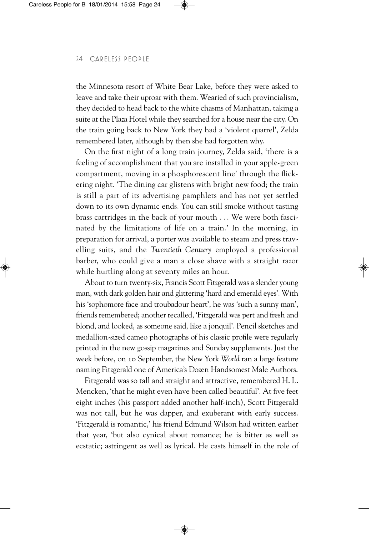the Minnesota resort of White Bear Lake, before they were asked to leave and take their uproar with them. Wearied of such provincialism, they decided to head back to the white chasms of Manhattan, taking a suite at the Plaza Hotel while they searched for a house near the city. On the train going back to New York they had a 'violent quarrel', Zelda remembered later, although by then she had forgotten why.

On the first night of a long train journey, Zelda said, 'there is a feeling of accomplishment that you are installed in your apple-green compartment, moving in a phosphorescent line' through the flickering night. 'The dining car glistens with bright new food; the train is still a part of its advertising pamphlets and has not yet settled down to its own dynamic ends. You can still smoke without tasting brass cartridges in the back of your mouth . . . We were both fascinated by the limitations of life on a train.' In the morning, in preparation for arrival, a porter was available to steam and press travelling suits, and the *Twentieth Century* employed a professional barber, who could give a man a close shave with a straight razor while hurtling along at seventy miles an hour.

About to turn twenty-six, Francis Scott Fitzgerald was a slender young man, with dark golden hair and glittering 'hard and emerald eyes'. With his 'sophomore face and troubadour heart', he was 'such a sunny man', friends remembered; another recalled, 'Fitzgerald was pert and fresh and blond, and looked, as someone said, like a jonquil'. Pencil sketches and medallion-sized cameo photographs of his classic profile were regularly printed in the new gossip magazines and Sunday supplements. Just the week before, on 10 September, the New York *World* ran a large feature naming Fitzgerald one of America's Dozen Handsomest Male Authors.

Fitzgerald was so tall and straight and attractive, remembered H. L. Mencken, 'that he might even have been called beautiful'. At five feet eight inches (his passport added another half-inch), Scott Fitzgerald was not tall, but he was dapper, and exuberant with early success. 'Fitzgerald is romantic,' his friend Edmund Wilson had written earlier that year, 'but also cynical about romance; he is bitter as well as ecstatic; astringent as well as lyrical. He casts himself in the role of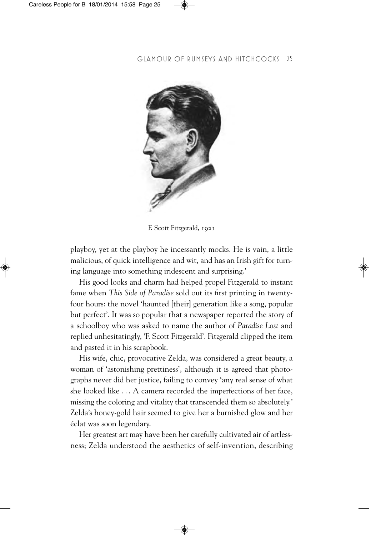

F. Scott Fitzgerald, 1921

playboy, yet at the playboy he incessantly mocks. He is vain, a little malicious, of quick intelligence and wit, and has an Irish gift for turning language into something iridescent and surprising.'

His good looks and charm had helped propel Fitzgerald to instant fame when *This Side of Paradise* sold out its first printing in twentyfour hours: the novel 'haunted [their] generation like a song, popular but perfect'. It was so popular that a newspaper reported the story of a schoolboy who was asked to name the author of *Paradise Lost* and replied unhesitatingly, 'F. Scott Fitzgerald'. Fitzgerald clipped the item and pasted it in his scrapbook.

His wife, chic, provocative Zelda, was considered a great beauty, a woman of 'astonishing prettiness', although it is agreed that photographs never did her justice, failing to convey 'any real sense of what she looked like . . . A camera recorded the imperfections of her face, missing the coloring and vitality that transcended them so absolutely.' Zelda's honey-gold hair seemed to give her a burnished glow and her éclat was soon legendary.

Her greatest art may have been her carefully cultivated air of artlessness; Zelda understood the aesthetics of self-invention, describing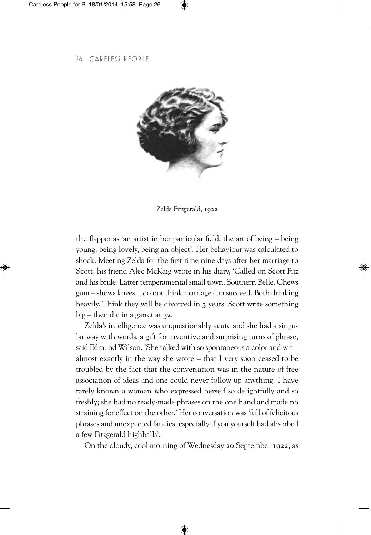

Zelda Fitzgerald, 1922

the flapper as 'an artist in her particular field, the art of being – being young, being lovely, being an object'. Her behaviour was calculated to shock. Meeting Zelda for the first time nine days after her marriage to Scott, his friend Alec McKaig wrote in his diary, 'Called on Scott Fitz and his bride. Latter temperamental small town, Southern Belle. Chews gum – shows knees. I do not think marriage can succeed. Both drinking heavily. Think they will be divorced in 3 years. Scott write something big – then die in a garret at 32.'

Zelda's intelligence was unquestionably acute and she had a singular way with words, a gift for inventive and surprising turns of phrase, said Edmund Wilson. 'She talked with so spontaneous a color and wit – almost exactly in the way she wrote – that I very soon ceased to be troubled by the fact that the conversation was in the nature of free association of ideas and one could never follow up anything. I have rarely known a woman who expressed herself so delightfully and so freshly; she had no ready-made phrases on the one hand and made no straining for effect on the other.' Her conversation was 'full of felicitous phrases and unexpected fancies, especially if you yourself had absorbed a few Fitzgerald highballs'.

On the cloudy, cool morning of Wednesday 20 September 1922, as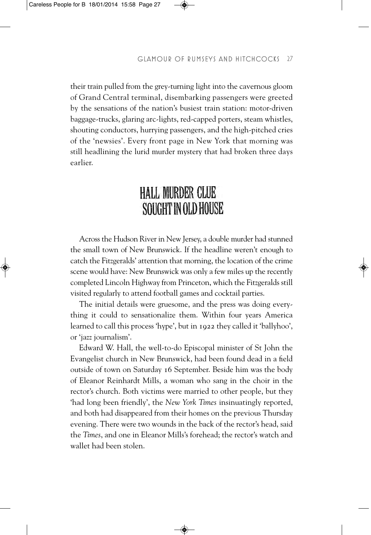their train pulled from the grey-turning light into the cavernous gloom of Grand Central terminal, disembarking passengers were greeted by the sensations of the nation's busiest train station: motor-driven baggage-trucks, glaring arc-lights, red-capped porters, steam whistles, shouting conductors, hurrying passengers, and the high-pitched cries of the 'newsies'. Every front page in New York that morning was still headlining the lurid murder mystery that had broken three days earlier.

# **HALL MURDER CLUE** SOUGHT IN OLD HOUSE

Across the Hudson River in New Jersey, a double murder had stunned the small town of New Brunswick. If the headline weren't enough to catch the Fitzgeralds' attention that morning, the location of the crime scene would have: New Brunswick was only a few miles up the recently completed Lincoln Highway from Princeton, which the Fitzgeralds still visited regularly to attend football games and cocktail parties.

The initial details were gruesome, and the press was doing everything it could to sensationalize them. Within four years America learned to call this process 'hype', but in 1922 they called it 'ballyhoo', or 'jazz journalism'.

Edward W. Hall, the well-to-do Episcopal minister of St John the Evangelist church in New Brunswick, had been found dead in a field outside of town on Saturday 16 September. Beside him was the body of Eleanor Reinhardt Mills, a woman who sang in the choir in the rector's church. Both victims were married to other people, but they 'had long been friendly', the *New York Times* insinuatingly reported, and both had disappeared from their homes on the previous Thursday evening. There were two wounds in the back of the rector's head, said the *Times*, and one in Eleanor Mills's forehead; the rector's watch and wallet had been stolen.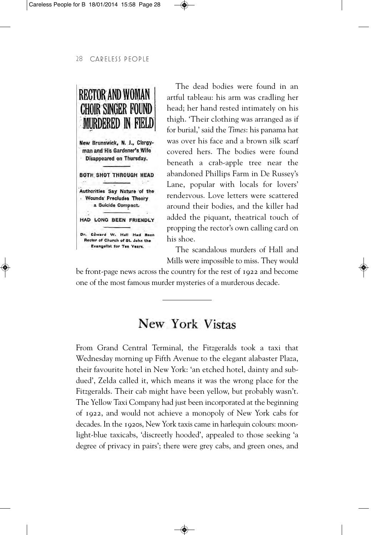

The dead bodies were found in an artful tableau: his arm was cradling her head; her hand rested intimately on his thigh. 'Their clothing was arranged as if for burial,' said the *Times*: his panama hat was over his face and a brown silk scarf covered hers. The bodies were found beneath a crab-apple tree near the abandoned Phillips Farm in De Russey's Lane, popular with locals for lovers' rendezvous. Love letters were scattered around their bodies, and the killer had added the piquant, theatrical touch of propping the rector's own calling card on his shoe.

The scandalous murders of Hall and Mills were impossible to miss. They would

be front-page news across the country for the rest of 1922 and become one of the most famous murder mysteries of a murderous decade.

## New York Vistas

From Grand Central Terminal, the Fitzgeralds took a taxi that Wednesday morning up Fifth Avenue to the elegant alabaster Plaza, their favourite hotel in New York: 'an etched hotel, dainty and subdued', Zelda called it, which means it was the wrong place for the Fitzgeralds. Their cab might have been yellow, but probably wasn't. The Yellow Taxi Company had just been incorporated at the beginning of 1922, and would not achieve a monopoly of New York cabs for decades. In the 1920s, New York taxis came in harlequin colours: moonlight-blue taxicabs, 'discreetly hooded', appealed to those seeking 'a degree of privacy in pairs'; there were grey cabs, and green ones, and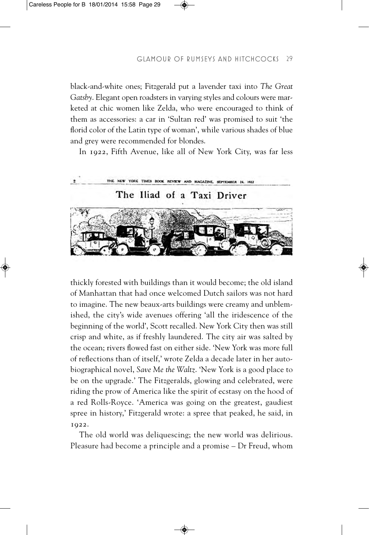black-and-white ones; Fitzgerald put a lavender taxi into *The Great Gatsby*. Elegant open roadsters in varying styles and colours were marketed at chic women like Zelda, who were encouraged to think of them as accessories: a car in 'Sultan red' was promised to suit 'the florid color of the Latin type of woman', while various shades of blue and grey were recommended for blondes.

In 1922, Fifth Avenue, like all of New York City, was far less



thickly forested with buildings than it would become; the old island of Manhattan that had once welcomed Dutch sailors was not hard to imagine. The new beaux-arts buildings were creamy and unblemished, the city's wide avenues offering 'all the iridescence of the beginning of the world', Scott recalled. New York City then was still crisp and white, as if freshly laundered. The city air was salted by the ocean; rivers flowed fast on either side. 'New York was more full of reflections than of itself,' wrote Zelda a decade later in her autobiographical novel, *Save Me the Waltz*. 'New York is a good place to be on the upgrade.' The Fitzgeralds, glowing and celebrated, were riding the prow of America like the spirit of ecstasy on the hood of a red Rolls-Royce. 'America was going on the greatest, gaudiest spree in history,' Fitzgerald wrote: a spree that peaked, he said, in 1922.

The old world was deliquescing; the new world was delirious. Pleasure had become a principle and a promise – Dr Freud, whom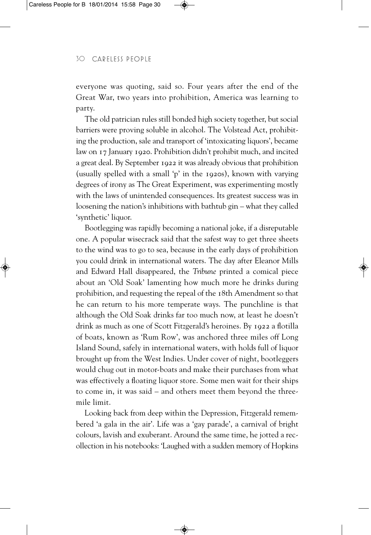everyone was quoting, said so. Four years after the end of the Great War, two years into prohibition, America was learning to party.

The old patrician rules still bonded high society together, but social barriers were proving soluble in alcohol. The Volstead Act, prohibiting the production, sale and transport of 'intoxicating liquors', became law on 17 January 1920. Prohibition didn't prohibit much, and incited a great deal. By September 1922 it was already obvious that prohibition (usually spelled with a small 'p' in the 1920s), known with varying degrees of irony as The Great Experiment, was experimenting mostly with the laws of unintended consequences. Its greatest success was in loosening the nation's inhibitions with bathtub gin – what they called 'synthetic' liquor.

Bootlegging was rapidly becoming a national joke, if a disreputable one. A popular wisecrack said that the safest way to get three sheets to the wind was to go to sea, because in the early days of prohibition you could drink in international waters. The day after Eleanor Mills and Edward Hall disappeared, the *Tribune* printed a comical piece about an 'Old Soak' lamenting how much more he drinks during prohibition, and requesting the repeal of the 18th Amendment so that he can return to his more temperate ways. The punchline is that although the Old Soak drinks far too much now, at least he doesn't drink as much as one of Scott Fitzgerald's heroines. By 1922 a flotilla of boats, known as 'Rum Row', was anchored three miles off Long Island Sound, safely in international waters, with holds full of liquor brought up from the West Indies. Under cover of night, bootleggers would chug out in motor-boats and make their purchases from what was effectively a floating liquor store. Some men wait for their ships to come in, it was said – and others meet them beyond the threemile limit.

Looking back from deep within the Depression, Fitzgerald remembered 'a gala in the air'. Life was a 'gay parade', a carnival of bright colours, lavish and exuberant. Around the same time, he jotted a recollection in his notebooks: 'Laughed with a sudden memory of Hopkins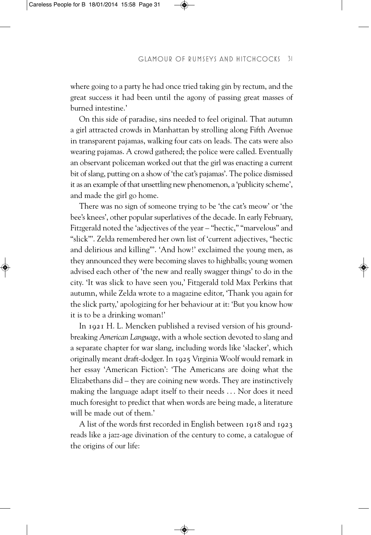where going to a party he had once tried taking gin by rectum, and the great success it had been until the agony of passing great masses of burned intestine.'

On this side of paradise, sins needed to feel original. That autumn a girl attracted crowds in Manhattan by strolling along Fifth Avenue in transparent pajamas, walking four cats on leads. The cats were also wearing pajamas. A crowd gathered; the police were called. Eventually an observant policeman worked out that the girl was enacting a current bit of slang, putting on a show of 'the cat's pajamas'. The police dismissed it as an example of that unsettling new phenomenon, a 'publicity scheme', and made the girl go home.

There was no sign of someone trying to be 'the cat's meow' or 'the bee's knees', other popular superlatives of the decade. In early February, Fitzgerald noted the 'adjectives of the year – "hectic," "marvelous" and "slick"'. Zelda remembered her own list of 'current adjectives, "hectic and delirious and killing"'. 'And how!' exclaimed the young men, as they announced they were becoming slaves to highballs; young women advised each other of 'the new and really swagger things' to do in the city. 'It was slick to have seen you,' Fitzgerald told Max Perkins that autumn, while Zelda wrote to a magazine editor, 'Thank you again for the slick party,' apologizing for her behaviour at it: 'But you know how it is to be a drinking woman!'

In 1921 H. L. Mencken published a revised version of his groundbreaking *American Language*, with a whole section devoted to slang and a separate chapter for war slang, including words like 'slacker', which originally meant draft-dodger. In 1925 Virginia Woolf would remark in her essay 'American Fiction': 'The Americans are doing what the Elizabethans did – they are coining new words. They are instinctively making the language adapt itself to their needs . . . Nor does it need much foresight to predict that when words are being made, a literature will be made out of them.'

A list of the words first recorded in English between 1918 and 1923 reads like a jazz-age divination of the century to come, a catalogue of the origins of our life: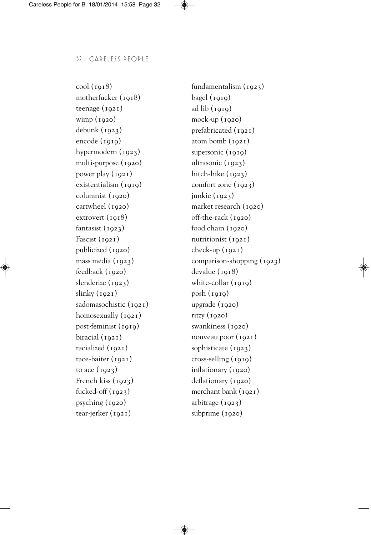cool (1918) motherfucker (1918) teenage (1921) wimp (1920)  $debunk (1923)$ encode (1919) hypermodern (1923) multi-purpose (1920) power play (1921) existentialism (1919) columnist (1920) cartwheel (1920) extrovert (1918) fantasist  $(1923)$ Fascist (1921) publicized (1920) mass media  $(1923)$ feedback (1020) slenderize (1923)  $slinky$  (1921) sadomasochistic (1921) homosexually  $(1921)$ post-feminist (1919)  $biracial (1921)$ racialized (1021) race-baiter (1021) to ace  $(1923)$ French kiss (1923) fucked-off  $(1923)$ psyching (1920) tear-jerker (1921)

fundamentalism (1923)  $bagel$  (1919) ad lib (1919) mock-up (1920) prefabricated (1921) atom bomb (1921) supersonic (1919) ultrasonic (1923) hitch-hike (1923) comfort zone (1923) junkie (1923) market research (1920) off-the-rack (1920) food chain (1920) nutritionist (1921) check-up (1921) comparison-shopping (1923) devalue (1918) white-collar (1919) posh (1919) upgrade (1920) ritzy (1920) swankiness (1920) nouveau poor (1921) sophisticate (1923) cross-selling (1919) inflationary (1920) deflationary (1920) merchant bank (1921) arbitrage (1923) subprime (1920)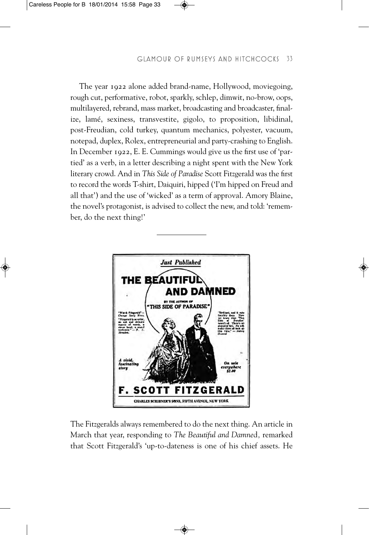The year 1922 alone added brand-name, Hollywood, moviegoing, rough cut, performative, robot, sparkly, schlep, dimwit, no-brow, oops, multilayered, rebrand, mass market, broadcasting and broadcaster, finalize, lamé, sexiness, transvestite, gigolo, to proposition, libidinal, post-Freudian, cold turkey, quantum mechanics, polyester, vacuum, notepad, duplex, Rolex, entrepreneurial and party-crashing to English. In December 1922, E. E. Cummings would give us the first use of 'partied' as a verb, in a letter describing a night spent with the New York literary crowd. And in *This Side of Paradise* Scott Fitzgerald was the first to record the words T-shirt, Daiquiri, hipped ('I'm hipped on Freud and all that') and the use of 'wicked' as a term of approval. Amory Blaine, the novel's protagonist, is advised to collect the new, and told: 'remember, do the next thing!'



The Fitzgeralds always remembered to do the next thing. An article in March that year, responding to *The Beautiful and Damne*d*,* remarked that Scott Fitzgerald's 'up-to-dateness is one of his chief assets. He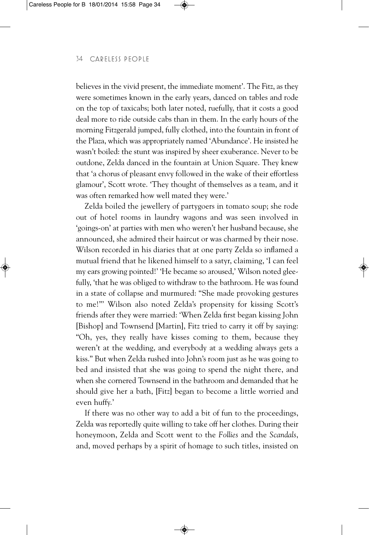believes in the vivid present, the immediate moment'. The Fitz, as they were sometimes known in the early years, danced on tables and rode on the top of taxicabs; both later noted, ruefully, that it costs a good deal more to ride outside cabs than in them. In the early hours of the morning Fitzgerald jumped, fully clothed, into the fountain in front of the Plaza, which was appropriately named 'Abundance'. He insisted he wasn't boiled: the stunt was inspired by sheer exuberance. Never to be outdone, Zelda danced in the fountain at Union Square. They knew that 'a chorus of pleasant envy followed in the wake of their effortless glamour', Scott wrote. 'They thought of themselves as a team, and it was often remarked how well mated they were.'

Zelda boiled the jewellery of partygoers in tomato soup; she rode out of hotel rooms in laundry wagons and was seen involved in 'goings-on' at parties with men who weren't her husband because, she announced, she admired their haircut or was charmed by their nose. Wilson recorded in his diaries that at one party Zelda so inflamed a mutual friend that he likened himself to a satyr, claiming, 'I can feel my ears growing pointed!' 'He became so aroused,' Wilson noted gleefully, 'that he was obliged to withdraw to the bathroom. He was found in a state of collapse and murmured: "She made provoking gestures to me!"' Wilson also noted Zelda's propensity for kissing Scott's friends after they were married: 'When Zelda first began kissing John [Bishop] and Townsend [Martin], Fitz tried to carry it off by saying: "Oh, yes, they really have kisses coming to them, because they weren't at the wedding, and everybody at a wedding always gets a kiss." But when Zelda rushed into John's room just as he was going to bed and insisted that she was going to spend the night there, and when she cornered Townsend in the bathroom and demanded that he should give her a bath, [Fitz] began to become a little worried and even huffy.'

If there was no other way to add a bit of fun to the proceedings, Zelda was reportedly quite willing to take off her clothes. During their honeymoon, Zelda and Scott went to the *Follies* and the *Scandals*, and, moved perhaps by a spirit of homage to such titles, insisted on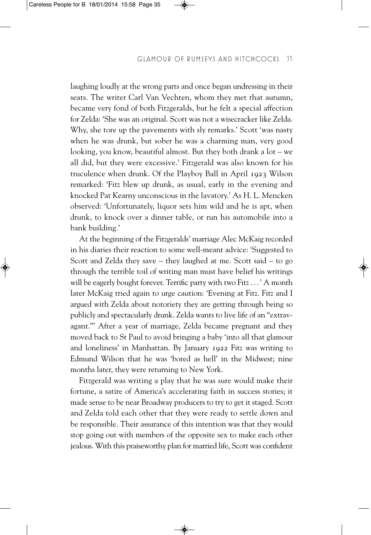laughing loudly at the wrong parts and once began undressing in their seats. The writer Carl Van Vechten, whom they met that autumn, became very fond of both Fitzgeralds, but he felt a special affection for Zelda: 'She was an original. Scott was not a wisecracker like Zelda. Why, she tore up the pavements with sly remarks.' Scott 'was nasty when he was drunk, but sober he was a charming man, very good looking, you know, beautiful almost. But they both drank a lot – we all did, but they were excessive.' Fitzgerald was also known for his truculence when drunk. Of the Playboy Ball in April 1923 Wilson remarked: 'Fitz blew up drunk, as usual, early in the evening and knocked Pat Kearny unconscious in the lavatory.' As H. L. Mencken observed: 'Unfortunately, liquor sets him wild and he is apt, when drunk, to knock over a dinner table, or run his automobile into a bank building.'

At the beginning of the Fitzgeralds' marriage Alec McKaig recorded in his diaries their reaction to some well-meant advice: 'Suggested to Scott and Zelda they save – they laughed at me. Scott said – to go through the terrible toil of writing man must have belief his writings will be eagerly bought forever. Terrific party with two Fitz . . . ' A month later McKaig tried again to urge caution: 'Evening at Fitz. Fitz and I argued with Zelda about notoriety they are getting through being so publicly and spectacularly drunk. Zelda wants to live life of an "extravagant."' After a year of marriage, Zelda became pregnant and they moved back to St Paul to avoid bringing a baby 'into all that glamour and loneliness' in Manhattan. By January 1922 Fitz was writing to Edmund Wilson that he was 'bored as hell' in the Midwest; nine months later, they were returning to New York.

Fitzgerald was writing a play that he was sure would make their fortune, a satire of America's accelerating faith in success stories; it made sense to be near Broadway producers to try to get it staged. Scott and Zelda told each other that they were ready to settle down and be responsible. Their assurance of this intention was that they would stop going out with members of the opposite sex to make each other jealous. With this praiseworthy plan for married life, Scott was confident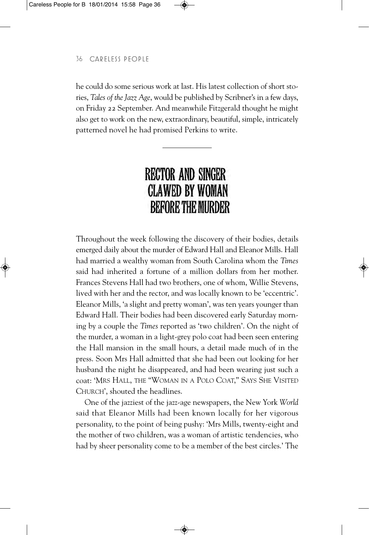he could do some serious work at last. His latest collection of short stories, *Tales of the Jazz Age*, would be published by Scribner's in a few days, on Friday 22 September. And meanwhile Fitzgerald thought he might also get to work on the new, extraordinary, beautiful, simple, intricately patterned novel he had promised Perkins to write.

# **RECTOR AND SINGER CLAWED BY WOMAN BEFORE THE MURDER**

Throughout the week following the discovery of their bodies, details emerged daily about the murder of Edward Hall and Eleanor Mills. Hall had married a wealthy woman from South Carolina whom the *Times* said had inherited a fortune of a million dollars from her mother. Frances Stevens Hall had two brothers, one of whom, Willie Stevens, lived with her and the rector, and was locally known to be 'eccentric'. Eleanor Mills, 'a slight and pretty woman', was ten years younger than Edward Hall. Their bodies had been discovered early Saturday morning by a couple the *Times* reported as 'two children'. On the night of the murder, a woman in a light-grey polo coat had been seen entering the Hall mansion in the small hours, a detail made much of in the press. Soon Mrs Hall admitted that she had been out looking for her husband the night he disappeared, and had been wearing just such a coat: 'MRS HALL, THE "WOMAN IN A POLO COAT," SAYS SHE VISITED CHURCH', shouted the headlines.

One of the jazziest of the jazz-age newspapers, the New York *World* said that Eleanor Mills had been known locally for her vigorous personality, to the point of being pushy: 'Mrs Mills, twenty-eight and the mother of two children, was a woman of artistic tendencies, who had by sheer personality come to be a member of the best circles.' The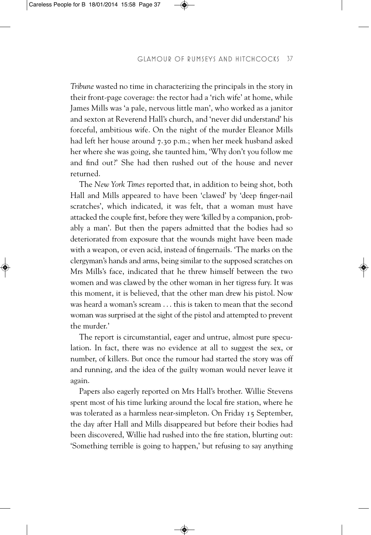*Tribune* wasted no time in characterizing the principals in the story in their front-page coverage: the rector had a 'rich wife' at home, while James Mills was 'a pale, nervous little man', who worked as a janitor and sexton at Reverend Hall's church, and 'never did understand' his forceful, ambitious wife. On the night of the murder Eleanor Mills had left her house around 7.30 p.m.; when her meek husband asked her where she was going, she taunted him, 'Why don't you follow me and find out?' She had then rushed out of the house and never returned.

The *New York Times* reported that, in addition to being shot, both Hall and Mills appeared to have been 'clawed' by 'deep finger-nail scratches', which indicated, it was felt, that a woman must have attacked the couple first, before they were 'killed by a companion, probably a man'. But then the papers admitted that the bodies had so deteriorated from exposure that the wounds might have been made with a weapon, or even acid, instead of fingernails. 'The marks on the clergyman's hands and arms, being similar to the supposed scratches on Mrs Mills's face, indicated that he threw himself between the two women and was clawed by the other woman in her tigress fury. It was this moment, it is believed, that the other man drew his pistol. Now was heard a woman's scream . . . this is taken to mean that the second woman was surprised at the sight of the pistol and attempted to prevent the murder.'

The report is circumstantial, eager and untrue, almost pure speculation. In fact, there was no evidence at all to suggest the sex, or number, of killers. But once the rumour had started the story was off and running, and the idea of the guilty woman would never leave it again.

Papers also eagerly reported on Mrs Hall's brother. Willie Stevens spent most of his time lurking around the local fire station, where he was tolerated as a harmless near-simpleton. On Friday 15 September, the day after Hall and Mills disappeared but before their bodies had been discovered, Willie had rushed into the fire station, blurting out: 'Something terrible is going to happen,' but refusing to say anything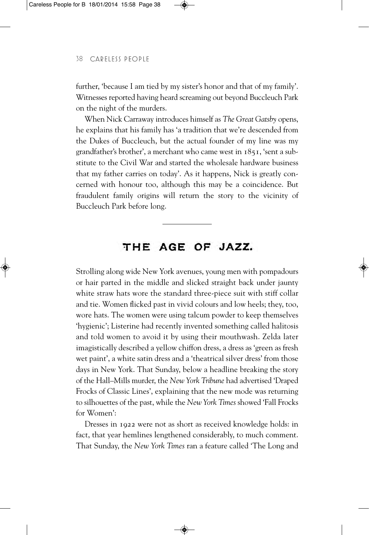further, 'because I am tied by my sister's honor and that of my family'. Witnesses reported having heard screaming out beyond Buccleuch Park on the night of the murders.

When Nick Carraway introduces himself as *The Great Gatsby* opens, he explains that his family has 'a tradition that we're descended from the Dukes of Buccleuch, but the actual founder of my line was my grandfather's brother', a merchant who came west in 1851, 'sent a substitute to the Civil War and started the wholesale hardware business that my father carries on today'. As it happens, Nick is greatly concerned with honour too, although this may be a coincidence. But fraudulent family origins will return the story to the vicinity of Buccleuch Park before long.

### THE AGE OF JAZZ.

Strolling along wide New York avenues, young men with pompadours or hair parted in the middle and slicked straight back under jaunty white straw hats wore the standard three-piece suit with stiff collar and tie. Women flicked past in vivid colours and low heels; they, too, wore hats. The women were using talcum powder to keep themselves 'hygienic'; Listerine had recently invented something called halitosis and told women to avoid it by using their mouthwash. Zelda later imagistically described a yellow chiffon dress, a dress as 'green as fresh wet paint', a white satin dress and a 'theatrical silver dress' from those days in New York. That Sunday, below a headline breaking the story of the Hall–Mills murder, the *New York Tribune* had advertised 'Draped Frocks of Classic Lines', explaining that the new mode was returning to silhouettes of the past, while the *New York Times* showed 'Fall Frocks for Women':

Dresses in 1922 were not as short as received knowledge holds: in fact, that year hemlines lengthened considerably, to much comment. That Sunday, the *New York Times* ran a feature called 'The Long and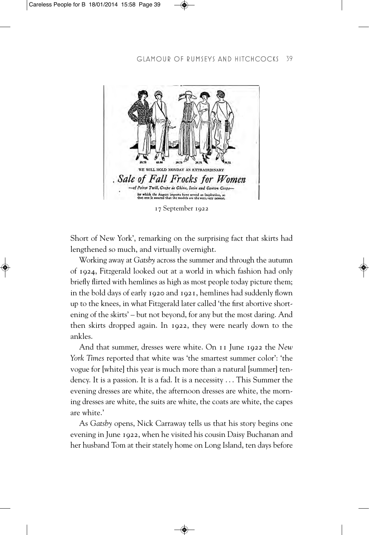

17 September 1922

Short of New York', remarking on the surprising fact that skirts had lengthened so much, and virtually overnight.

Working away at *Gatsby* across the summer and through the autumn of 1924, Fitzgerald looked out at a world in which fashion had only briefly flirted with hemlines as high as most people today picture them; in the bold days of early 1920 and 1921, hemlines had suddenly flown up to the knees, in what Fitzgerald later called 'the first abortive shortening of the skirts' – but not beyond, for any but the most daring. And then skirts dropped again. In 1922, they were nearly down to the ankles.

And that summer, dresses were white. On 11 June 1922 the *New York Times* reported that white was 'the smartest summer color': 'the vogue for [white] this year is much more than a natural [summer] tendency. It is a passion. It is a fad. It is a necessity . . . This Summer the evening dresses are white, the afternoon dresses are white, the morning dresses are white, the suits are white, the coats are white, the capes are white.'

As *Gatsby* opens, Nick Carraway tells us that his story begins one evening in June 1922, when he visited his cousin Daisy Buchanan and her husband Tom at their stately home on Long Island, ten days before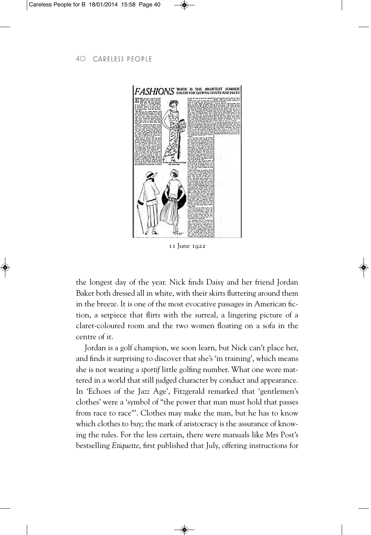

11 June 1922

the longest day of the year. Nick finds Daisy and her friend Jordan Baker both dressed all in white, with their skirts fluttering around them in the breeze. It is one of the most evocative passages in American fiction, a setpiece that flirts with the surreal, a lingering picture of a claret-coloured room and the two women floating on a sofa in the centre of it.

Jordan is a golf champion, we soon learn, but Nick can't place her, and finds it surprising to discover that she's 'in training', which means she is not wearing a *sportif* little golfing number. What one wore mattered in a world that still judged character by conduct and appearance. In 'Echoes of the Jazz Age', Fitzgerald remarked that 'gentlemen's clothes' were a 'symbol of "the power that man must hold that passes from race to race"'. Clothes may make the man, but he has to know which clothes to buy; the mark of aristocracy is the assurance of knowing the rules. For the less certain, there were manuals like Mrs Post's bestselling *Etiquette*, first published that July, offering instructions for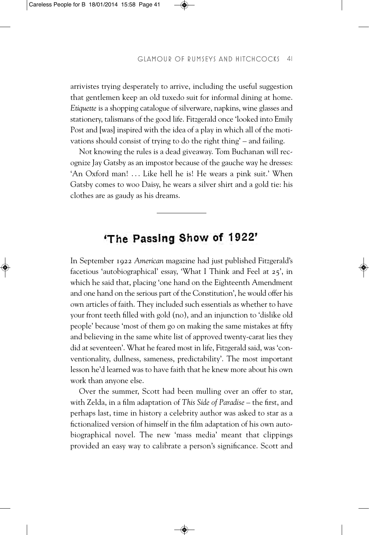arrivistes trying desperately to arrive, including the useful suggestion that gentlemen keep an old tuxedo suit for informal dining at home. *Etiquette* is a shopping catalogue of silverware, napkins, wine glasses and stationery, talismans of the good life. Fitzgerald once 'looked into Emily Post and [was] inspired with the idea of a play in which all of the motivations should consist of trying to do the right thing' – and failing.

Not knowing the rules is a dead giveaway. Tom Buchanan will recognize Jay Gatsby as an impostor because of the gauche way he dresses: 'An Oxford man! ... Like hell he is! He wears a pink suit.' When Gatsby comes to woo Daisy, he wears a silver shirt and a gold tie: his clothes are as gaudy as his dreams.

### 'The Passing Show of 1922'

In September 1922 *American* magazine had just published Fitzgerald's facetious 'autobiographical' essay, 'What I Think and Feel at 25', in which he said that, placing 'one hand on the Eighteenth Amendment and one hand on the serious part of the Constitution', he would offer his own articles of faith. They included such essentials as whether to have your front teeth filled with gold (no), and an injunction to 'dislike old people' because 'most of them go on making the same mistakes at fifty and believing in the same white list of approved twenty-carat lies they did at seventeen'. What he feared most in life, Fitzgerald said, was 'conventionality, dullness, sameness, predictability'. The most important lesson he'd learned was to have faith that he knew more about his own work than anyone else.

Over the summer, Scott had been mulling over an offer to star, with Zelda, in a film adaptation of *This Side of Paradise –* the first, and perhaps last, time in history a celebrity author was asked to star as a fictionalized version of himself in the film adaptation of his own autobiographical novel. The new 'mass media' meant that clippings provided an easy way to calibrate a person's significance. Scott and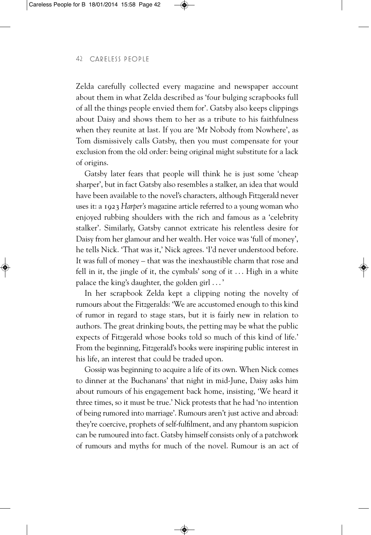#### 42 CARELESS PEOPLE

Zelda carefully collected every magazine and newspaper account about them in what Zelda described as 'four bulging scrapbooks full of all the things people envied them for'. Gatsby also keeps clippings about Daisy and shows them to her as a tribute to his faithfulness when they reunite at last. If you are 'Mr Nobody from Nowhere', as Tom dismissively calls Gatsby, then you must compensate for your exclusion from the old order: being original might substitute for a lack of origins.

Gatsby later fears that people will think he is just some 'cheap sharper', but in fact Gatsby also resembles a stalker, an idea that would have been available to the novel's characters, although Fitzgerald never uses it: a 1923 *Harper's* magazine article referred to a young woman who enjoyed rubbing shoulders with the rich and famous as a 'celebrity stalker'. Similarly, Gatsby cannot extricate his relentless desire for Daisy from her glamour and her wealth. Her voice was 'full of money', he tells Nick. 'That was it,' Nick agrees. 'I'd never understood before. It was full of money – that was the inexhaustible charm that rose and fell in it, the jingle of it, the cymbals' song of it  $\dots$  High in a white palace the king's daughter, the golden girl . . . '

In her scrapbook Zelda kept a clipping noting the novelty of rumours about the Fitzgeralds: 'We are accustomed enough to this kind of rumor in regard to stage stars, but it is fairly new in relation to authors. The great drinking bouts, the petting may be what the public expects of Fitzgerald whose books told so much of this kind of life.' From the beginning, Fitzgerald's books were inspiring public interest in his life, an interest that could be traded upon.

Gossip was beginning to acquire a life of its own. When Nick comes to dinner at the Buchanans' that night in mid-June, Daisy asks him about rumours of his engagement back home, insisting, 'We heard it three times, so it must be true.' Nick protests that he had 'no intention of being rumored into marriage'. Rumours aren't just active and abroad: they're coercive, prophets of self-fulfilment, and any phantom suspicion can be rumoured into fact. Gatsby himself consists only of a patchwork of rumours and myths for much of the novel. Rumour is an act of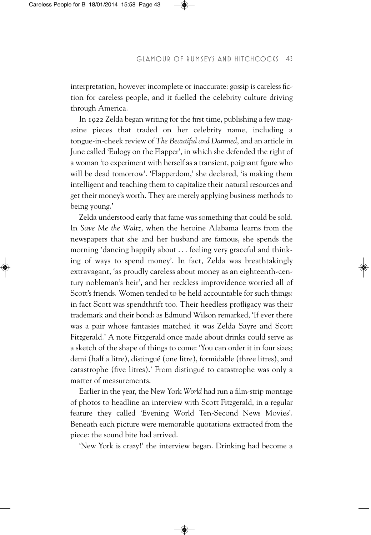interpretation, however incomplete or inaccurate: gossip is careless fiction for careless people, and it fuelled the celebrity culture driving through America.

In 1922 Zelda began writing for the first time, publishing a few magazine pieces that traded on her celebrity name, including a tongue-in-cheek review of *The Beautiful and Damned*, and an article in June called 'Eulogy on the Flapper', in which she defended the right of a woman 'to experiment with herself as a transient, poignant figure who will be dead tomorrow'. 'Flapperdom,' she declared, 'is making them intelligent and teaching them to capitalize their natural resources and get their money's worth. They are merely applying business methods to being young.'

Zelda understood early that fame was something that could be sold. In *Save Me the Waltz*, when the heroine Alabama learns from the newspapers that she and her husband are famous, she spends the morning *'*dancing happily about . . . feeling very graceful and thinking of ways to spend money'. In fact, Zelda was breathtakingly extravagant, 'as proudly careless about money as an eighteenth-century nobleman's heir', and her reckless improvidence worried all of Scott's friends. Women tended to be held accountable for such things: in fact Scott was spendthrift too. Their heedless profligacy was their trademark and their bond: as Edmund Wilson remarked, 'If ever there was a pair whose fantasies matched it was Zelda Sayre and Scott Fitzgerald.' A note Fitzgerald once made about drinks could serve as a sketch of the shape of things to come: 'You can order it in four sizes; demi (half a litre), distingué (one litre), formidable (three litres), and catastrophe (five litres).' From distingué to catastrophe was only a matter of measurements.

Earlier in the year, the New York *World* had run a film-strip montage of photos to headline an interview with Scott Fitzgerald, in a regular feature they called 'Evening World Ten-Second News Movies'. Beneath each picture were memorable quotations extracted from the piece: the sound bite had arrived.

'New York is crazy!' the interview began. Drinking had become a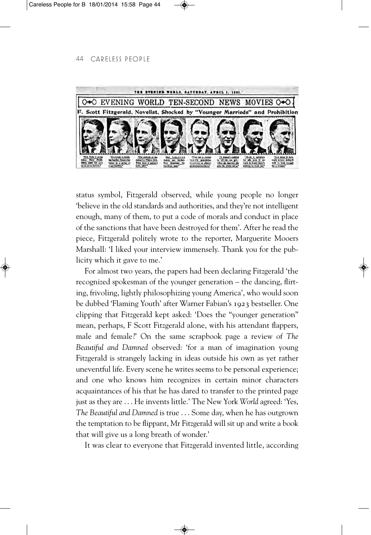#### 44 CARELESS PEOPLE



status symbol, Fitzgerald observed, while young people no longer 'believe in the old standards and authorities, and they're not intelligent enough, many of them, to put a code of morals and conduct in place of the sanctions that have been destroyed for them'. After he read the piece, Fitzgerald politely wrote to the reporter, Marguerite Mooers Marshall: 'I liked your interview immensely. Thank you for the publicity which it gave to me.'

For almost two years, the papers had been declaring Fitzgerald 'the recognized spokesman of the younger generation – the dancing, flirting, frivoling, lightly philosophizing young America', who would soon be dubbed 'Flaming Youth' after Warner Fabian's 1923 bestseller. One clipping that Fitzgerald kept asked: 'Does the "younger generation" mean, perhaps, F Scott Fitzgerald alone, with his attendant flappers, male and female?' On the same scrapbook page a review of *The Beautiful and Damned* observed: 'for a man of imagination young Fitzgerald is strangely lacking in ideas outside his own as yet rather uneventful life. Every scene he writes seems to be personal experience; and one who knows him recognizes in certain minor characters acquaintances of his that he has dared to transfer to the printed page just as they are . . . He invents little.' The New York *World* agreed: 'Yes, *The Beautiful and Damned* is true . . . Some day, when he has outgrown the temptation to be flippant, Mr Fitzgerald will sit up and write a book that will give us a long breath of wonder.'

It was clear to everyone that Fitzgerald invented little, according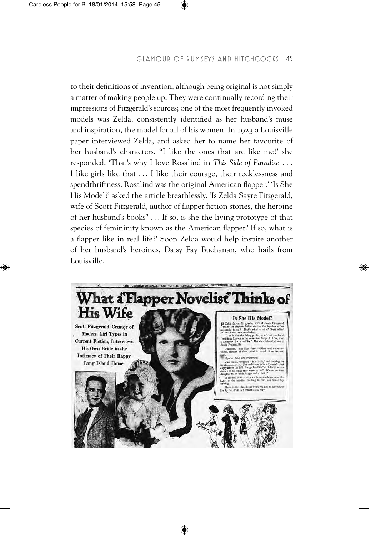to their definitions of invention, although being original is not simply a matter of making people up. They were continually recording their impressions of Fitzgerald's sources; one of the most frequently invoked models was Zelda, consistently identified as her husband's muse and inspiration, the model for all of his women. In 1923 a Louisville paper interviewed Zelda, and asked her to name her favourite of her husband's characters. "I like the ones that are like me!' she responded. 'That's why I love Rosalind in *This Side of Paradise . . .* I like girls like that ... I like their courage, their recklessness and spendthriftness. Rosalind was the original American flapper.' 'Is She His Model?' asked the article breathlessly. 'Is Zelda Sayre Fitzgerald, wife of Scott Fitzgerald, author of flapper fiction stories, the heroine of her husband's books? . . . If so, is she the living prototype of that species of femininity known as the American flapper? If so, what is a flapper like in real life?' Soon Zelda would help inspire another of her husband's heroines, Daisy Fay Buchanan, who hails from Louisville.

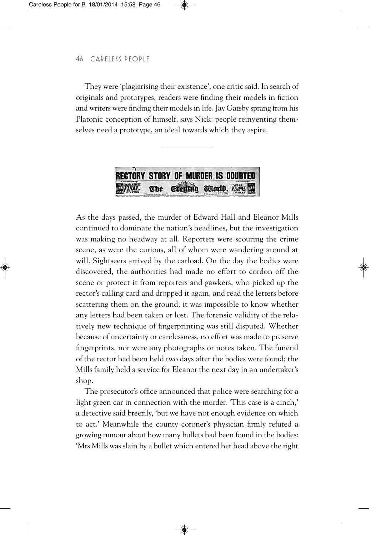They were 'plagiarising their existence', one critic said. In search of originals and prototypes, readers were finding their models in fiction and writers were finding their models in life. Jay Gatsby sprang from his Platonic conception of himself, says Nick: people reinventing themselves need a prototype, an ideal towards which they aspire.

**RECTORY STORY OF MURDER IS DOUBTED** The Evening Adorio.

As the days passed, the murder of Edward Hall and Eleanor Mills continued to dominate the nation's headlines, but the investigation was making no headway at all. Reporters were scouring the crime scene, as were the curious, all of whom were wandering around at will. Sightseers arrived by the carload. On the day the bodies were discovered, the authorities had made no effort to cordon off the scene or protect it from reporters and gawkers, who picked up the rector's calling card and dropped it again, and read the letters before scattering them on the ground; it was impossible to know whether any letters had been taken or lost. The forensic validity of the relatively new technique of fingerprinting was still disputed. Whether because of uncertainty or carelessness, no effort was made to preserve fingerprints, nor were any photographs or notes taken. The funeral of the rector had been held two days after the bodies were found; the Mills family held a service for Eleanor the next day in an undertaker's shop.

The prosecutor's office announced that police were searching for a light green car in connection with the murder. 'This case is a cinch,' a detective said breezily, 'but we have not enough evidence on which to act.' Meanwhile the county coroner's physician firmly refuted a growing rumour about how many bullets had been found in the bodies: 'Mrs Mills was slain by a bullet which entered her head above the right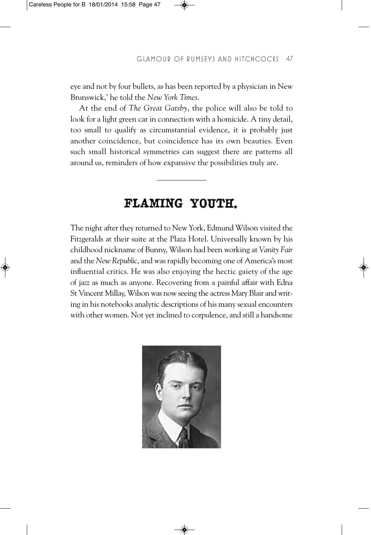eye and not by four bullets, as has been reported by a physician in New Brunswick,' he told the *New York Times*.

At the end of *The Great Gatsby*, the police will also be told to look for a light green car in connection with a homicide. A tiny detail, too small to qualify as circumstantial evidence, it is probably just another coincidence, but coincidence has its own beauties. Even such small historical symmetries can suggest there are patterns all around us, reminders of how expansive the possibilities truly are.

## FLAMING YOUTH.

The night after they returned to New York, Edmund Wilson visited the Fitzgeralds at their suite at the Plaza Hotel. Universally known by his childhood nickname of Bunny, Wilson had been working at *Vanity Fair* and the *New Republic*, and was rapidly becoming one of America's most influential critics. He was also enjoying the hectic gaiety of the age of jazz as much as anyone. Recovering from a painful affair with Edna St Vincent Millay, Wilson was now seeing the actress Mary Blair and writing in his notebooks analytic descriptions of his many sexual encounters with other women. Not yet inclined to corpulence, and still a handsome

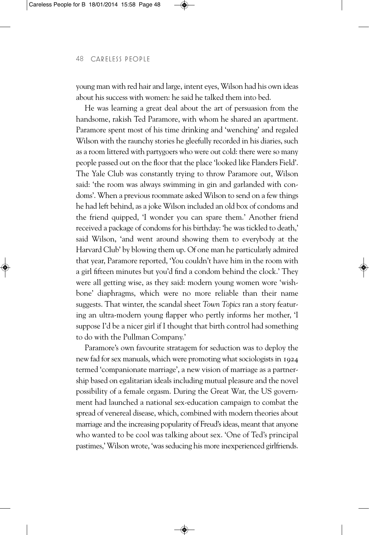young man with red hair and large, intent eyes, Wilson had his own ideas about his success with women: he said he talked them into bed.

He was learning a great deal about the art of persuasion from the handsome, rakish Ted Paramore, with whom he shared an apartment. Paramore spent most of his time drinking and 'wenching' and regaled Wilson with the raunchy stories he gleefully recorded in his diaries, such as a room littered with partygoers who were out cold: there were so many people passed out on the floor that the place 'looked like Flanders Field'. The Yale Club was constantly trying to throw Paramore out, Wilson said: 'the room was always swimming in gin and garlanded with condoms'. When a previous roommate asked Wilson to send on a few things he had left behind, as a joke Wilson included an old box of condoms and the friend quipped, 'I wonder you can spare them.' Another friend received a package of condoms for his birthday: 'he was tickled to death,' said Wilson, 'and went around showing them to everybody at the Harvard Club' by blowing them up. Of one man he particularly admired that year, Paramore reported, 'You couldn't have him in the room with a girl fifteen minutes but you'd find a condom behind the clock.' They were all getting wise, as they said: modern young women wore 'wishbone' diaphragms, which were no more reliable than their name suggests. That winter, the scandal sheet *Town Topics* ran a story featuring an ultra-modern young flapper who pertly informs her mother, 'I suppose I'd be a nicer girl if I thought that birth control had something to do with the Pullman Company.'

Paramore's own favourite stratagem for seduction was to deploy the new fad for sex manuals, which were promoting what sociologists in 1924 termed 'companionate marriage', a new vision of marriage as a partnership based on egalitarian ideals including mutual pleasure and the novel possibility of a female orgasm. During the Great War, the US government had launched a national sex-education campaign to combat the spread of venereal disease, which, combined with modern theories about marriage and the increasing popularity of Freud's ideas, meant that anyone who wanted to be cool was talking about sex. 'One of Ted's principal pastimes,' Wilson wrote, 'was seducing his more inexperienced girlfriends.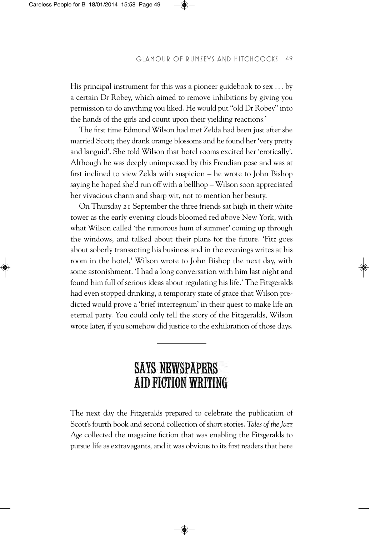His principal instrument for this was a pioneer guidebook to sex . . . by a certain Dr Robey, which aimed to remove inhibitions by giving you permission to do anything you liked. He would put "old Dr Robey" into the hands of the girls and count upon their yielding reactions.'

The first time Edmund Wilson had met Zelda had been just after she married Scott; they drank orange blossoms and he found her 'very pretty and languid'. She told Wilson that hotel rooms excited her 'erotically'. Although he was deeply unimpressed by this Freudian pose and was at first inclined to view Zelda with suspicion – he wrote to John Bishop saying he hoped she'd run off with a bellhop – Wilson soon appreciated her vivacious charm and sharp wit, not to mention her beauty.

On Thursday 21 September the three friends sat high in their white tower as the early evening clouds bloomed red above New York, with what Wilson called 'the rumorous hum of summer' coming up through the windows, and talked about their plans for the future. 'Fitz goes about soberly transacting his business and in the evenings writes at his room in the hotel,' Wilson wrote to John Bishop the next day, with some astonishment. 'I had a long conversation with him last night and found him full of serious ideas about regulating his life.' The Fitzgeralds had even stopped drinking, a temporary state of grace that Wilson predicted would prove a 'brief interregnum' in their quest to make life an eternal party. You could only tell the story of the Fitzgeralds, Wilson wrote later, if you somehow did justice to the exhilaration of those days.

# **SAYS NEWSPAPERS** AID FICTION WRITING

The next day the Fitzgeralds prepared to celebrate the publication of Scott's fourth book and second collection of short stories. *Tales of the Jazz Age* collected the magazine fiction that was enabling the Fitzgeralds to pursue life as extravagants, and it was obvious to its first readers that here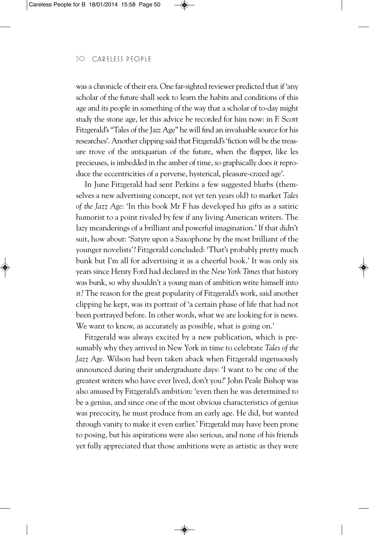was a chronicle of their era. One far-sighted reviewer predicted that if 'any scholar of the future shall seek to learn the habits and conditions of this age and its people in something of the way that a scholar of to-day might study the stone age, let this advice be recorded for him now: in F. Scott Fitzgerald's "Tales of the Jazz Age" he will find an invaluable source for his researches'. Another clipping said that Fitzgerald's 'fiction will be the treasure trove of the antiquarian of the future, when the flapper, like les precieuses, is imbedded in the amber of time, so graphically does it reproduce the eccentricities of a perverse, hysterical, pleasure-crazed age'.

In June Fitzgerald had sent Perkins a few suggested blurbs (themselves a new advertising concept, not yet ten years old) to market *Tales of the Jazz Age*: 'In this book Mr F has developed his gifts as a satiric humorist to a point rivaled by few if any living American writers. The lazy meanderings of a brilliant and powerful imagination.' If that didn't suit, how about: 'Satyre upon a Saxophone by the most brilliant of the younger novelists'? Fitzgerald concluded: 'That's probably pretty much bunk but I'm all for advertising it as a cheerful book.' It was only six years since Henry Ford had declared in the *New York Times* that history was bunk, so why shouldn't a young man of ambition write himself into it? The reason for the great popularity of Fitzgerald's work, said another clipping he kept, was its portrait of 'a certain phase of life that had not been portrayed before. In other words, what we are looking for is news. We want to know, as accurately as possible, what is going on.'

Fitzgerald was always excited by a new publication, which is presumably why they arrived in New York in time to celebrate *Tales of the Jazz Age*. Wilson had been taken aback when Fitzgerald ingenuously announced during their undergraduate days: 'I want to be one of the greatest writers who have ever lived, don't you?' John Peale Bishop was also amused by Fitzgerald's ambition: 'even then he was determined to be a genius, and since one of the most obvious characteristics of genius was precocity, he must produce from an early age. He did, but wanted through vanity to make it even earlier.' Fitzgerald may have been prone to posing, but his aspirations were also serious, and none of his friends yet fully appreciated that those ambitions were as artistic as they were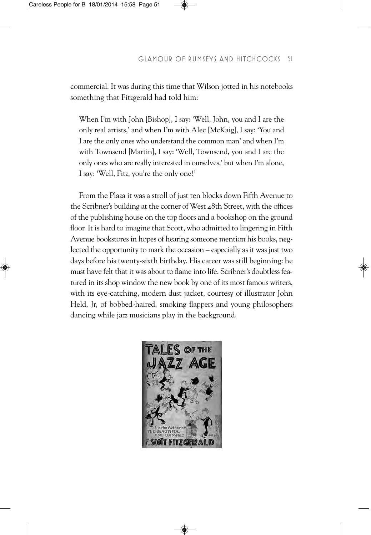commercial. It was during this time that Wilson jotted in his notebooks something that Fitzgerald had told him:

When I'm with John [Bishop], I say: 'Well, John, you and I are the only real artists,' and when I'm with Alec [McKaig], I say: 'You and I are the only ones who understand the common man' and when I'm with Townsend [Martin], I say: 'Well, Townsend, you and I are the only ones who are really interested in ourselves,' but when I'm alone, I say: 'Well, Fitz, you're the only one!'

From the Plaza it was a stroll of just ten blocks down Fifth Avenue to the Scribner's building at the corner of West 48th Street, with the offices of the publishing house on the top floors and a bookshop on the ground floor. It is hard to imagine that Scott, who admitted to lingering in Fifth Avenue bookstores in hopes of hearing someone mention his books, neglected the opportunity to mark the occasion – especially as it was just two days before his twenty-sixth birthday. His career was still beginning: he must have felt that it was about to flame into life. Scribner's doubtless featured in its shop window the new book by one of its most famous writers, with its eye-catching, modern dust jacket, courtesy of illustrator John Held, Jr, of bobbed-haired, smoking flappers and young philosophers dancing while jazz musicians play in the background.

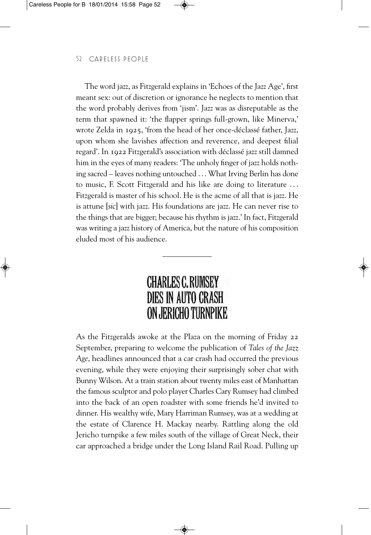#### 52 CARELESS PEOPLE

The word jazz, as Fitzgerald explains in 'Echoes of the Jazz Age', first meant sex: out of discretion or ignorance he neglects to mention that the word probably derives from 'jism'. Jazz was as disreputable as the term that spawned it: 'the flapper springs full-grown, like Minerva,' wrote Zelda in 1925, 'from the head of her once-déclassé father, Jazz, upon whom she lavishes affection and reverence, and deepest filial regard'. In 1922 Fitzgerald's association with déclassé jazz still damned him in the eyes of many readers: 'The unholy finger of jazz holds nothing sacred – leaves nothing untouched . . . What Irving Berlin has done to music, F. Scott Fitzgerald and his like are doing to literature . . . Fitzgerald is master of his school. He is the acme of all that is jazz. He is attune [*sic*] with jazz. His foundations are jazz. He can never rise to the things that are bigger; because his rhythm is jazz.' In fact, Fitzgerald was writing a jazz history of America, but the nature of his composition eluded most of his audience.

# **CHARLES C. RUMSEY DIES IN AUTO CRASH** ON JERICHO TURNPIKE

As the Fitzgeralds awoke at the Plaza on the morning of Friday 22 September, preparing to welcome the publication of *Tales of the Jazz Age*, headlines announced that a car crash had occurred the previous evening, while they were enjoying their surprisingly sober chat with Bunny Wilson. At a train station about twenty miles east of Manhattan the famous sculptor and polo player Charles Cary Rumsey had climbed into the back of an open roadster with some friends he'd invited to dinner. His wealthy wife, Mary Harriman Rumsey, was at a wedding at the estate of Clarence H. Mackay nearby. Rattling along the old Jericho turnpike a few miles south of the village of Great Neck, their car approached a bridge under the Long Island Rail Road. Pulling up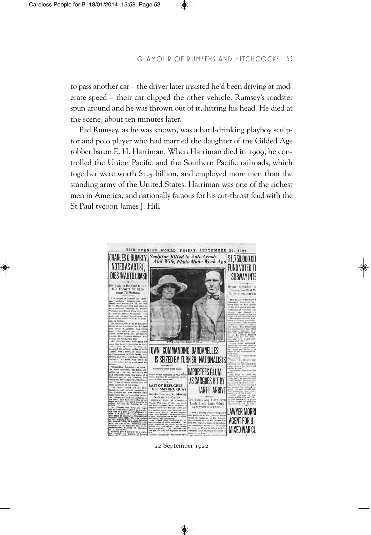to pass another car – the driver later insisted he'd been driving at moderate speed – their car clipped the other vehicle. Rumsey's roadster spun around and he was thrown out of it, hitting his head. He died at the scene, about ten minutes later.

Pad Rumsey, as he was known, was a hard-drinking playboy sculptor and polo player who had married the daughter of the Gilded Age robber baron E. H. Harriman. When Harriman died in 1909, he controlled the Union Pacific and the Southern Pacific railroads, which together were worth \$1.5 billion, and employed more men than the standing army of the United States. Harriman was one of the richest men in America, and nationally famous for his cut-throat feud with the St Paul tycoon James J. Hill.

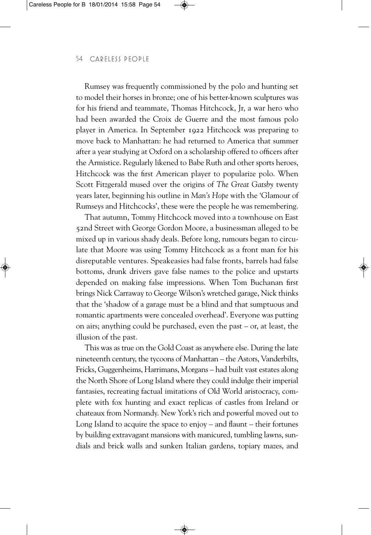Rumsey was frequently commissioned by the polo and hunting set to model their horses in bronze; one of his better-known sculptures was for his friend and teammate, Thomas Hitchcock, Jr, a war hero who had been awarded the Croix de Guerre and the most famous polo player in America. In September 1922 Hitchcock was preparing to move back to Manhattan: he had returned to America that summer after a year studying at Oxford on a scholarship offered to officers after the Armistice. Regularly likened to Babe Ruth and other sports heroes, Hitchcock was the first American player to popularize polo. When Scott Fitzgerald mused over the origins of *The Great Gatsby* twenty years later, beginning his outline in *Man's Hope* with the 'Glamour of Rumseys and Hitchcocks', these were the people he was remembering.

That autumn, Tommy Hitchcock moved into a townhouse on East 52nd Street with George Gordon Moore, a businessman alleged to be mixed up in various shady deals. Before long, rumours began to circulate that Moore was using Tommy Hitchcock as a front man for his disreputable ventures. Speakeasies had false fronts, barrels had false bottoms, drunk drivers gave false names to the police and upstarts depended on making false impressions. When Tom Buchanan first brings Nick Carraway to George Wilson's wretched garage, Nick thinks that the 'shadow of a garage must be a blind and that sumptuous and romantic apartments were concealed overhead'. Everyone was putting on airs; anything could be purchased, even the past – or, at least, the illusion of the past.

This was as true on the Gold Coast as anywhere else. During the late nineteenth century, the tycoons of Manhattan – the Astors, Vanderbilts, Fricks, Guggenheims, Harrimans, Morgans – had built vast estates along the North Shore of Long Island where they could indulge their imperial fantasies, recreating factual imitations of Old World aristocracy, complete with fox hunting and exact replicas of castles from Ireland or chateaux from Normandy. New York's rich and powerful moved out to Long Island to acquire the space to enjoy – and flaunt – their fortunes by building extravagant mansions with manicured, tumbling lawns, sundials and brick walls and sunken Italian gardens, topiary mazes, and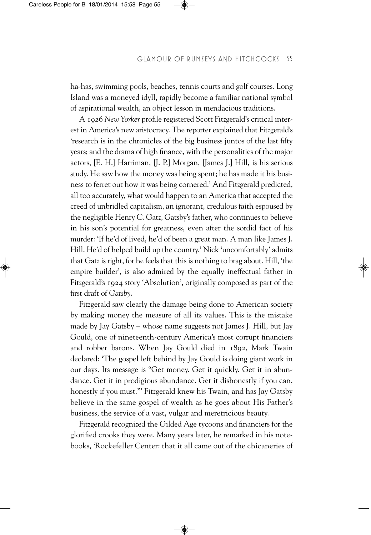ha-has, swimming pools, beaches, tennis courts and golf courses. Long Island was a moneyed idyll, rapidly become a familiar national symbol of aspirational wealth, an object lesson in mendacious traditions.

A 1926 *New Yorker* profile registered Scott Fitzgerald's critical interest in America's new aristocracy. The reporter explained that Fitzgerald's 'research is in the chronicles of the big business juntos of the last fifty years; and the drama of high finance, with the personalities of the major actors, [E. H.] Harriman, [J. P.] Morgan, [James J.] Hill, is his serious study. He saw how the money was being spent; he has made it his business to ferret out how it was being cornered.' And Fitzgerald predicted, all too accurately, what would happen to an America that accepted the creed of unbridled capitalism, an ignorant, credulous faith espoused by the negligible Henry C. Gatz, Gatsby's father, who continues to believe in his son's potential for greatness, even after the sordid fact of his murder: 'If he'd of lived, he'd of been a great man. A man like James J. Hill. He'd of helped build up the country.' Nick 'uncomfortably' admits that Gatz is right, for he feels that this is nothing to brag about. Hill, 'the empire builder', is also admired by the equally ineffectual father in Fitzgerald's 1924 story 'Absolution', originally composed as part of the first draft of *Gatsby*.

Fitzgerald saw clearly the damage being done to American society by making money the measure of all its values. This is the mistake made by Jay Gatsby – whose name suggests not James J. Hill, but Jay Gould, one of nineteenth-century America's most corrupt financiers and robber barons. When Jay Gould died in 1892, Mark Twain declared: 'The gospel left behind by Jay Gould is doing giant work in our days. Its message is "Get money. Get it quickly. Get it in abundance. Get it in prodigious abundance. Get it dishonestly if you can, honestly if you must."' Fitzgerald knew his Twain, and has Jay Gatsby believe in the same gospel of wealth as he goes about His Father's business, the service of a vast, vulgar and meretricious beauty.

Fitzgerald recognized the Gilded Age tycoons and financiers for the glorified crooks they were. Many years later, he remarked in his notebooks, 'Rockefeller Center: that it all came out of the chicaneries of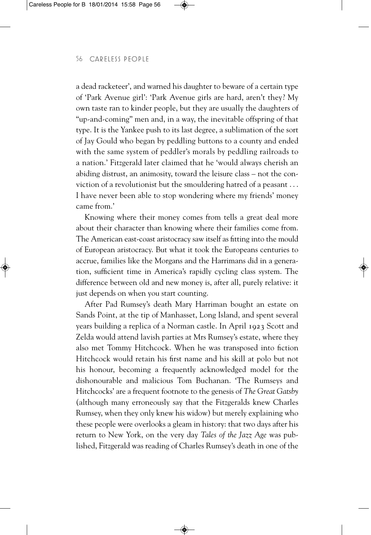a dead racketeer', and warned his daughter to beware of a certain type of 'Park Avenue girl': 'Park Avenue girls are hard, aren't they? My own taste ran to kinder people, but they are usually the daughters of "up-and-coming" men and, in a way, the inevitable offspring of that type. It is the Yankee push to its last degree, a sublimation of the sort of Jay Gould who began by peddling buttons to a county and ended with the same system of peddler's morals by peddling railroads to a nation.' Fitzgerald later claimed that he 'would always cherish an abiding distrust, an animosity, toward the leisure class – not the conviction of a revolutionist but the smouldering hatred of a peasant . . . I have never been able to stop wondering where my friends' money came from.'

Knowing where their money comes from tells a great deal more about their character than knowing where their families come from. The American east-coast aristocracy saw itself as fitting into the mould of European aristocracy. But what it took the Europeans centuries to accrue, families like the Morgans and the Harrimans did in a generation, sufficient time in America's rapidly cycling class system. The difference between old and new money is, after all, purely relative: it just depends on when you start counting.

After Pad Rumsey's death Mary Harriman bought an estate on Sands Point, at the tip of Manhasset, Long Island, and spent several years building a replica of a Norman castle. In April 1923 Scott and Zelda would attend lavish parties at Mrs Rumsey's estate, where they also met Tommy Hitchcock. When he was transposed into fiction Hitchcock would retain his first name and his skill at polo but not his honour, becoming a frequently acknowledged model for the dishonourable and malicious Tom Buchanan. 'The Rumseys and Hitchcocks' are a frequent footnote to the genesis of *The Great Gatsby* (although many erroneously say that the Fitzgeralds knew Charles Rumsey, when they only knew his widow) but merely explaining who these people were overlooks a gleam in history: that two days after his return to New York, on the very day *Tales of the Jazz Age* was published, Fitzgerald was reading of Charles Rumsey's death in one of the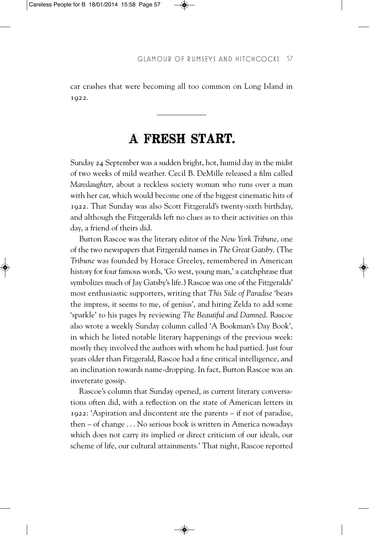car crashes that were becoming all too common on Long Island in 1922.

## A FRESH START.

Sunday 24 September was a sudden bright, hot, humid day in the midst of two weeks of mild weather. Cecil B. DeMille released a film called *Manslaughter*, about a reckless society woman who runs over a man with her car, which would become one of the biggest cinematic hits of 1922. That Sunday was also Scott Fitzgerald's twenty-sixth birthday, and although the Fitzgeralds left no clues as to their activities on this day, a friend of theirs did.

Burton Rascoe was the literary editor of the *New York Tribune*, one of the two newspapers that Fitzgerald names in *The Great Gatsby*. (The *Tribune* was founded by Horace Greeley, remembered in American history for four famous words, 'Go west, young man,' a catchphrase that symbolizes much of Jay Gatsby's life.) Rascoe was one of the Fitzgeralds' most enthusiastic supporters, writing that *This Side of Paradise* 'bears the impress, it seems to me, of genius', and hiring Zelda to add some 'sparkle' to his pages by reviewing *The Beautiful and Damned*. Rascoe also wrote a weekly Sunday column called 'A Bookman's Day Book', in which he listed notable literary happenings of the previous week: mostly they involved the authors with whom he had partied. Just four years older than Fitzgerald, Rascoe had a fine critical intelligence, and an inclination towards name-dropping. In fact, Burton Rascoe was an inveterate gossip.

Rascoe's column that Sunday opened, as current literary conversations often did, with a reflection on the state of American letters in 1922: 'Aspiration and discontent are the parents – if not of paradise, then – of change . . . No serious book is written in America nowadays which does not carry its implied or direct criticism of our ideals, our scheme of life, our cultural attainments.' That night, Rascoe reported